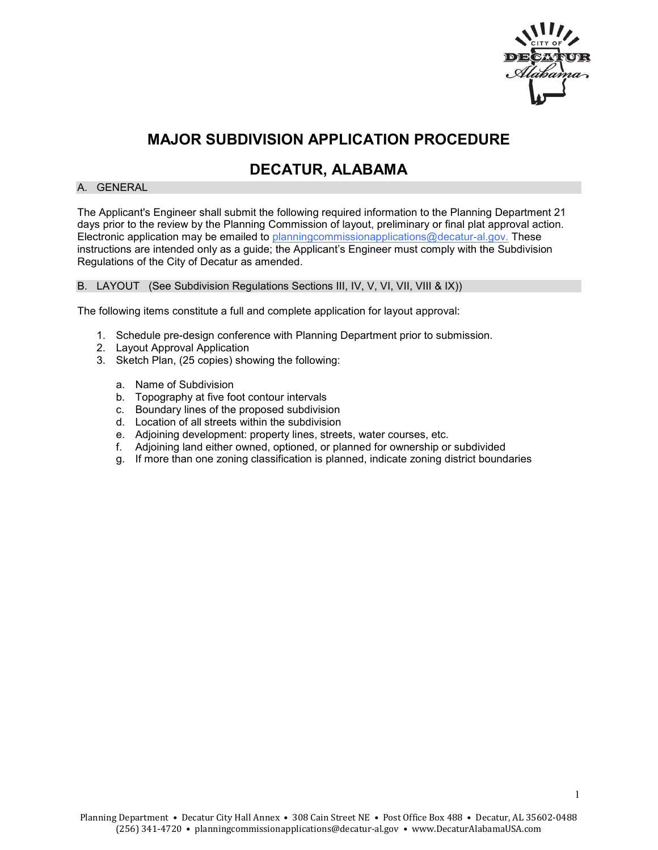

# **MAJOR SUBDIVISION APPLICATION PROCEDURE**

### **DECATUR, ALABAMA**

#### A. GENERAL

The Applicant's Engineer shall submit the following required information to the Planning Department 21 days prior to the review by the Planning Commission of layout, preliminary or final plat approval action. Electronic application may be emailed to planning commissionapplications@decatur-al.gov. These instructions are intended only as a guide; the Applicant's Engineer must comply with the Subdivision Regulations of the City of Decatur as amended.

#### B. LAYOUT (See Subdivision Regulations Sections III, IV, V, VI, VII, VIII & IX))

The following items constitute a full and complete application for layout approval:

- 1. Schedule pre-design conference with Planning Department prior to submission.
- 2. Layout Approval Application
- 3. Sketch Plan, (25 copies) showing the following:
	- a. Name of Subdivision
	- b. Topography at five foot contour intervals
	- c. Boundary lines of the proposed subdivision
	- d. Location of all streets within the subdivision
	- e. Adjoining development: property lines, streets, water courses, etc.
	- f. Adjoining land either owned, optioned, or planned for ownership or subdivided
	- g. If more than one zoning classification is planned, indicate zoning district boundaries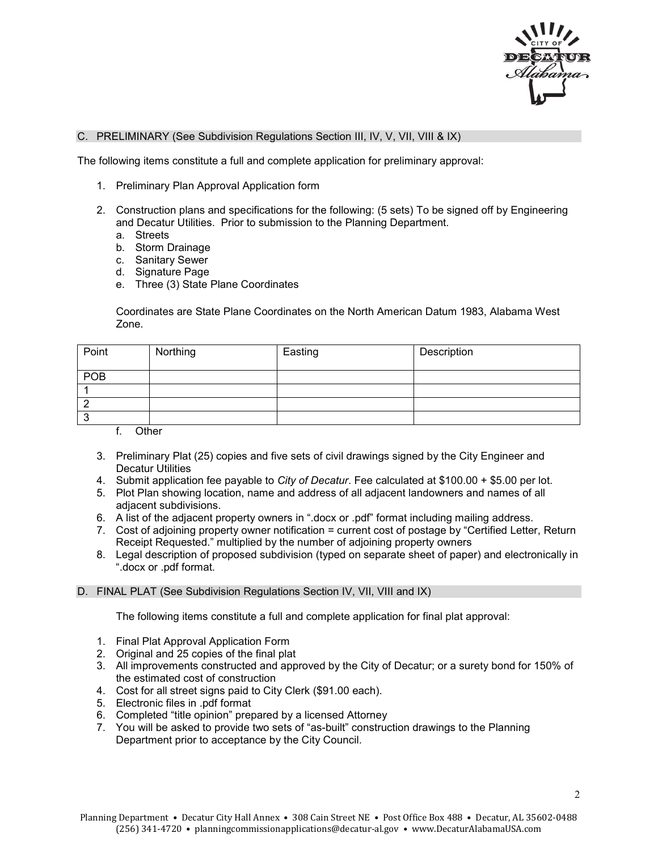

#### C. PRELIMINARY (See Subdivision Regulations Section III, IV, V, VII, VIII & IX)

The following items constitute a full and complete application for preliminary approval:

- 1. Preliminary Plan Approval Application form
- 2. Construction plans and specifications for the following: (5 sets) To be signed off by Engineering and Decatur Utilities. Prior to submission to the Planning Department.
	- a. Streets
	- b. Storm Drainage
	- c. Sanitary Sewer
	- d. Signature Page
	- e. Three (3) State Plane Coordinates

Coordinates are State Plane Coordinates on the North American Datum 1983, Alabama West Zone.

| Point | Northing | Easting | Description |
|-------|----------|---------|-------------|
| POB   |          |         |             |
|       |          |         |             |
|       |          |         |             |
| N     |          |         |             |

f. Other

- 3. Preliminary Plat (25) copies and five sets of civil drawings signed by the City Engineer and Decatur Utilities
- 4. Submit application fee payable to *City of Decatur*. Fee calculated at \$100.00 + \$5.00 per lot.
- 5. Plot Plan showing location, name and address of all adjacent landowners and names of all adjacent subdivisions.
- 6. A list of the adjacent property owners in ".docx or .pdf" format including mailing address.
- 7. Cost of adjoining property owner notification = current cost of postage by "Certified Letter, Return Receipt Requested." multiplied by the number of adjoining property owners
- 8. Legal description of proposed subdivision (typed on separate sheet of paper) and electronically in ".docx or .pdf format.

#### D. FINAL PLAT (See Subdivision Regulations Section IV, VII, VIII and IX)

The following items constitute a full and complete application for final plat approval:

- 1. Final Plat Approval Application Form
- 2. Original and 25 copies of the final plat
- 3. All improvements constructed and approved by the City of Decatur; or a surety bond for 150% of the estimated cost of construction
- 4. Cost for all street signs paid to City Clerk (\$91.00 each).
- 5. Electronic files in .pdf format
- 6. Completed "title opinion" prepared by a licensed Attorney
- 7. You will be asked to provide two sets of "as-built" construction drawings to the Planning Department prior to acceptance by the City Council.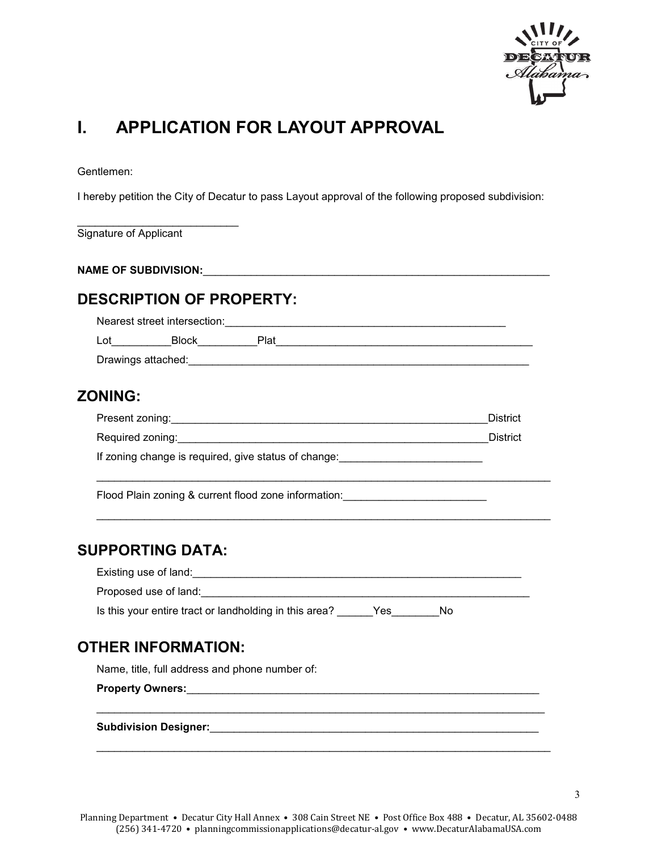

# **I. APPLICATION FOR LAYOUT APPROVAL**

Gentlemen:

I hereby petition the City of Decatur to pass Layout approval of the following proposed subdivision:

\_\_\_\_\_\_\_\_\_\_\_\_\_\_\_\_\_\_\_\_\_\_\_\_\_\_\_ Signature of Applicant

**NAME OF SUBDIVISION:**\_\_\_\_\_\_\_\_\_\_\_\_\_\_\_\_\_\_\_\_\_\_\_\_\_\_\_\_\_\_\_\_\_\_\_\_\_\_\_\_\_\_\_\_\_\_\_\_\_\_\_\_\_\_\_\_\_\_

### **DESCRIPTION OF PROPERTY:**

Nearest street intersection:\_\_\_\_\_\_\_\_\_\_\_\_\_\_\_\_\_\_\_\_\_\_\_\_\_\_\_\_\_\_\_\_\_\_\_\_\_\_\_\_\_\_\_\_\_\_\_ Lot\_\_\_\_\_\_\_\_\_\_Block\_\_\_\_\_\_\_\_\_\_Plat\_\_\_\_\_\_\_\_\_\_\_\_\_\_\_\_\_\_\_\_\_\_\_\_\_\_\_\_\_\_\_\_\_\_\_\_\_\_\_\_\_\_\_

Drawings attached: etc. and the set of the set of the set of the set of the set of the set of the set of the set of the set of the set of the set of the set of the set of the set of the set of the set of the set of the set

### **ZONING:**

| Present zoning:  | District |
|------------------|----------|
| Required zoning: | District |

\_\_\_\_\_\_\_\_\_\_\_\_\_\_\_\_\_\_\_\_\_\_\_\_\_\_\_\_\_\_\_\_\_\_\_\_\_\_\_\_\_\_\_\_\_\_\_\_\_\_\_\_\_\_\_\_\_\_\_\_\_\_\_\_\_\_\_\_\_\_\_\_\_\_\_\_

\_\_\_\_\_\_\_\_\_\_\_\_\_\_\_\_\_\_\_\_\_\_\_\_\_\_\_\_\_\_\_\_\_\_\_\_\_\_\_\_\_\_\_\_\_\_\_\_\_\_\_\_\_\_\_\_\_\_\_\_\_\_\_\_\_\_\_\_\_\_\_\_\_\_\_\_

If zoning change is required, give status of change: \_\_\_\_\_\_\_\_\_\_\_\_\_\_\_\_\_\_\_\_\_\_\_\_\_\_\_

Flood Plain zoning & current flood zone information:

#### **SUPPORTING DATA:**

| Existing use of land:                                  |     |    |
|--------------------------------------------------------|-----|----|
| Proposed use of land:                                  |     |    |
| Is this your entire tract or landholding in this area? | Yes | Nο |

### **OTHER INFORMATION:**

Name, title, full address and phone number of:

**Property Owners:**\_\_\_\_\_\_\_\_\_\_\_\_\_\_\_\_\_\_\_\_\_\_\_\_\_\_\_\_\_\_\_\_\_\_\_\_\_\_\_\_\_\_\_\_\_\_\_\_\_\_\_\_\_\_\_\_\_\_\_

**Subdivision Designer:**\_\_\_\_\_\_\_\_\_\_\_\_\_\_\_\_\_\_\_\_\_\_\_\_\_\_\_\_\_\_\_\_\_\_\_\_\_\_\_\_\_\_\_\_\_\_\_\_\_\_\_\_\_\_\_

\_\_\_\_\_\_\_\_\_\_\_\_\_\_\_\_\_\_\_\_\_\_\_\_\_\_\_\_\_\_\_\_\_\_\_\_\_\_\_\_\_\_\_\_\_\_\_\_\_\_\_\_\_\_\_\_\_\_\_\_\_\_\_\_\_\_\_\_\_\_\_\_\_\_\_

\_\_\_\_\_\_\_\_\_\_\_\_\_\_\_\_\_\_\_\_\_\_\_\_\_\_\_\_\_\_\_\_\_\_\_\_\_\_\_\_\_\_\_\_\_\_\_\_\_\_\_\_\_\_\_\_\_\_\_\_\_\_\_\_\_\_\_\_\_\_\_\_\_\_\_\_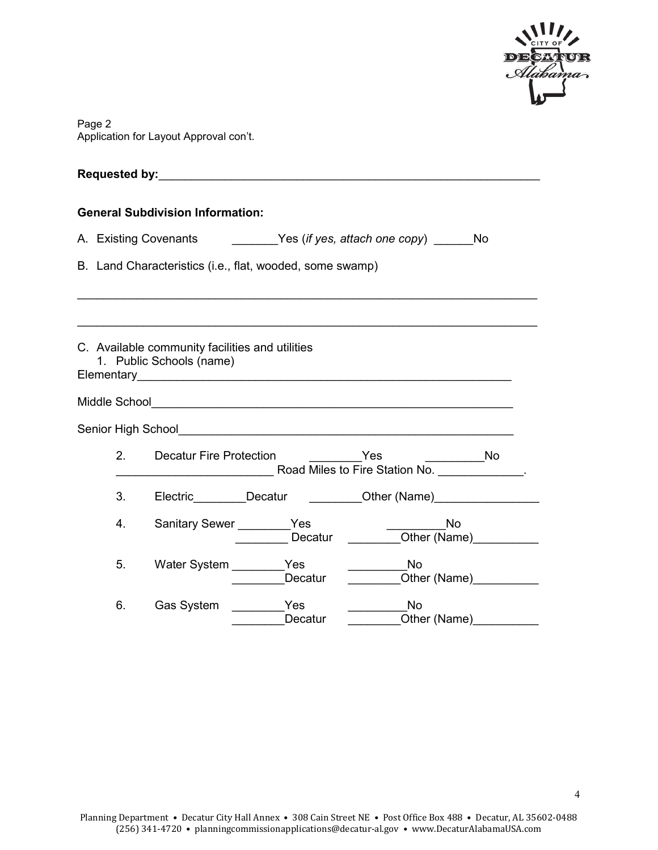

| Page 2                                 |
|----------------------------------------|
| Application for Layout Approval con't. |

|  |                                                                         | <b>General Subdivision Information:</b>                                                                                                            |                                                                                                                                                                                                                               |                                                                                  |  |
|--|-------------------------------------------------------------------------|----------------------------------------------------------------------------------------------------------------------------------------------------|-------------------------------------------------------------------------------------------------------------------------------------------------------------------------------------------------------------------------------|----------------------------------------------------------------------------------|--|
|  | A. Existing Covenants <b>Example 2</b> Yes (if yes, attach one copy) No |                                                                                                                                                    |                                                                                                                                                                                                                               |                                                                                  |  |
|  | B. Land Characteristics (i.e., flat, wooded, some swamp)                |                                                                                                                                                    |                                                                                                                                                                                                                               |                                                                                  |  |
|  |                                                                         | C. Available community facilities and utilities<br>1. Public Schools (name)                                                                        |                                                                                                                                                                                                                               |                                                                                  |  |
|  |                                                                         |                                                                                                                                                    |                                                                                                                                                                                                                               |                                                                                  |  |
|  |                                                                         |                                                                                                                                                    | Senior High School and the control of the control of the control of the control of the control of the control of the control of the control of the control of the control of the control of the control of the control of the |                                                                                  |  |
|  | 2.                                                                      | <b>Decatur Fire Protection</b><br><u>na and a three States</u><br>$\begin{array}{c}\n\overline{\phantom{1}}\phantom{1} \phantom{1} \end{array}$ No |                                                                                                                                                                                                                               |                                                                                  |  |
|  | 3.                                                                      |                                                                                                                                                    |                                                                                                                                                                                                                               | Electric_________Decatur __________Other (Name)_________________________________ |  |
|  | 4.                                                                      | Sanitary Sewer _________ Yes                                                                                                                       | Decatur                                                                                                                                                                                                                       | <b>No</b><br>Other (Name) Cuber (Name)                                           |  |
|  | 5.                                                                      | Water System ________ Yes                                                                                                                          | Decatur                                                                                                                                                                                                                       | <b>No</b><br>Other (Name)                                                        |  |
|  | 6.                                                                      | Gas System                                                                                                                                         | <b>Example Street Street Street</b><br>Decatur                                                                                                                                                                                | <b>No</b><br>Other (Name)                                                        |  |

4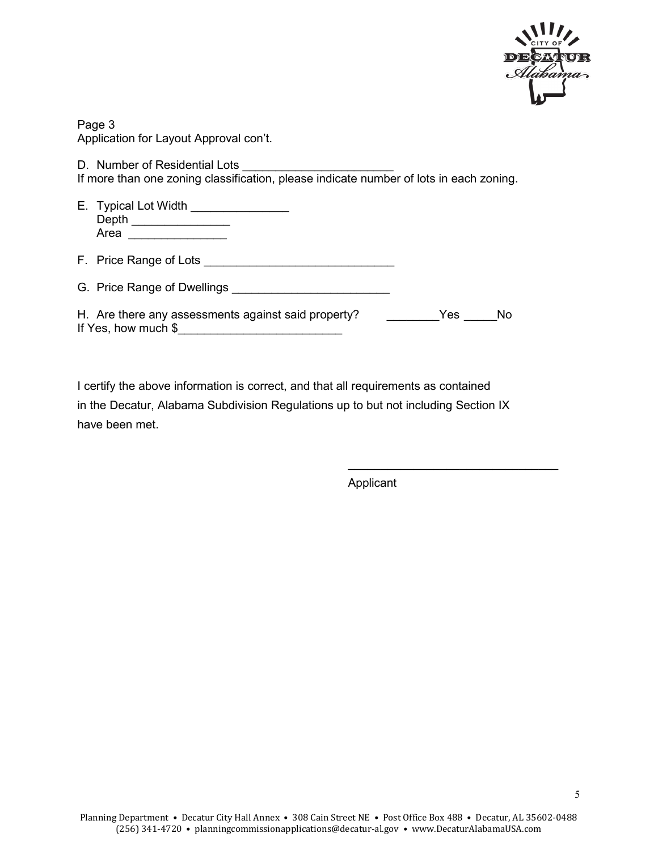

Page 3 Application for Layout Approval con't.

D. Number of Residential Lots

If more than one zoning classification, please indicate number of lots in each zoning.

E. Typical Lot Width \_\_\_\_\_\_\_\_\_\_\_\_\_\_\_\_ Depth \_\_\_\_\_\_\_\_\_\_\_\_\_\_\_ Area \_\_\_\_\_\_\_\_\_\_\_\_\_\_\_

F. Price Range of Lots G. Price Range of Dwellings

|  | H. Are there any assessments against said property? | Yes No |  |
|--|-----------------------------------------------------|--------|--|
|  |                                                     |        |  |

If Yes, how much \$\_\_\_\_\_\_\_\_\_\_\_\_\_\_\_\_\_\_\_\_\_\_\_\_\_

I certify the above information is correct, and that all requirements as contained in the Decatur, Alabama Subdivision Regulations up to but not including Section IX have been met.

Applicant

 $\_$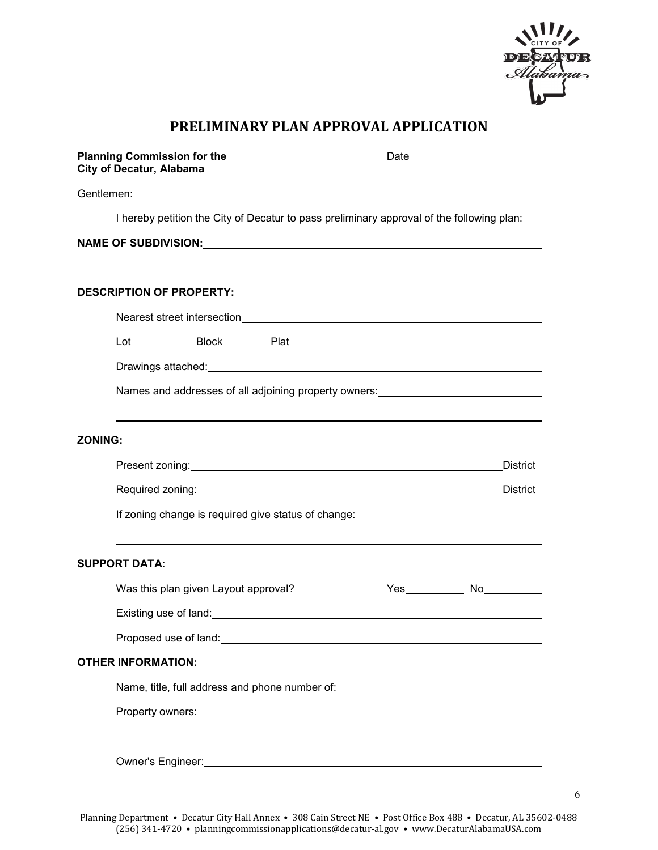

6

# **PRELIMINARY PLAN APPROVAL APPLICATION**

| <b>Planning Commission for the</b><br><b>City of Decatur, Alabama</b>                                         | Date experience and the set of the set of the set of the set of the set of the set of the set of the set of the set of the set of the set of the set of the set of the set of the set of the set of the set of the set of the       |  |  |  |
|---------------------------------------------------------------------------------------------------------------|-------------------------------------------------------------------------------------------------------------------------------------------------------------------------------------------------------------------------------------|--|--|--|
| Gentlemen:                                                                                                    |                                                                                                                                                                                                                                     |  |  |  |
| I hereby petition the City of Decatur to pass preliminary approval of the following plan:                     |                                                                                                                                                                                                                                     |  |  |  |
|                                                                                                               |                                                                                                                                                                                                                                     |  |  |  |
|                                                                                                               |                                                                                                                                                                                                                                     |  |  |  |
| <b>DESCRIPTION OF PROPERTY:</b>                                                                               |                                                                                                                                                                                                                                     |  |  |  |
|                                                                                                               |                                                                                                                                                                                                                                     |  |  |  |
|                                                                                                               |                                                                                                                                                                                                                                     |  |  |  |
|                                                                                                               |                                                                                                                                                                                                                                     |  |  |  |
|                                                                                                               | Names and addresses of all adjoining property owners:___________________________                                                                                                                                                    |  |  |  |
| <b>ZONING:</b>                                                                                                |                                                                                                                                                                                                                                     |  |  |  |
|                                                                                                               | <b>District</b>                                                                                                                                                                                                                     |  |  |  |
|                                                                                                               |                                                                                                                                                                                                                                     |  |  |  |
|                                                                                                               | If zoning change is required give status of change: <u>the contract of the contract of</u> the contract of the contract of the contract of the contract of the contract of the contract of the contract of the contract of the cont |  |  |  |
| <b>SUPPORT DATA:</b>                                                                                          |                                                                                                                                                                                                                                     |  |  |  |
| Was this plan given Layout approval?                                                                          | Yes_____________ No___________                                                                                                                                                                                                      |  |  |  |
| Existing use of land: Existing use of land:                                                                   |                                                                                                                                                                                                                                     |  |  |  |
| Proposed use of land: Note that the state of the state of the state of the state of the state of the state of |                                                                                                                                                                                                                                     |  |  |  |
| <b>OTHER INFORMATION:</b>                                                                                     |                                                                                                                                                                                                                                     |  |  |  |
| Name, title, full address and phone number of:                                                                |                                                                                                                                                                                                                                     |  |  |  |
|                                                                                                               |                                                                                                                                                                                                                                     |  |  |  |
|                                                                                                               |                                                                                                                                                                                                                                     |  |  |  |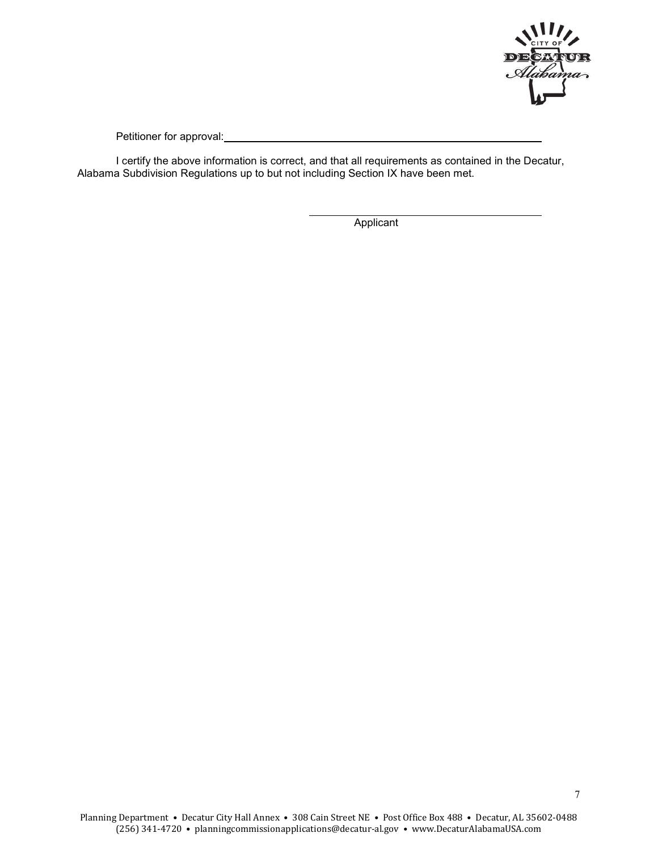

Petitioner for approval:

I certify the above information is correct, and that all requirements as contained in the Decatur, Alabama Subdivision Regulations up to but not including Section IX have been met.

**Applicant**